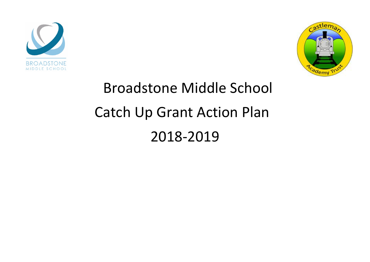



## Broadstone Middle School Catch Up Grant Action Plan 2018-2019